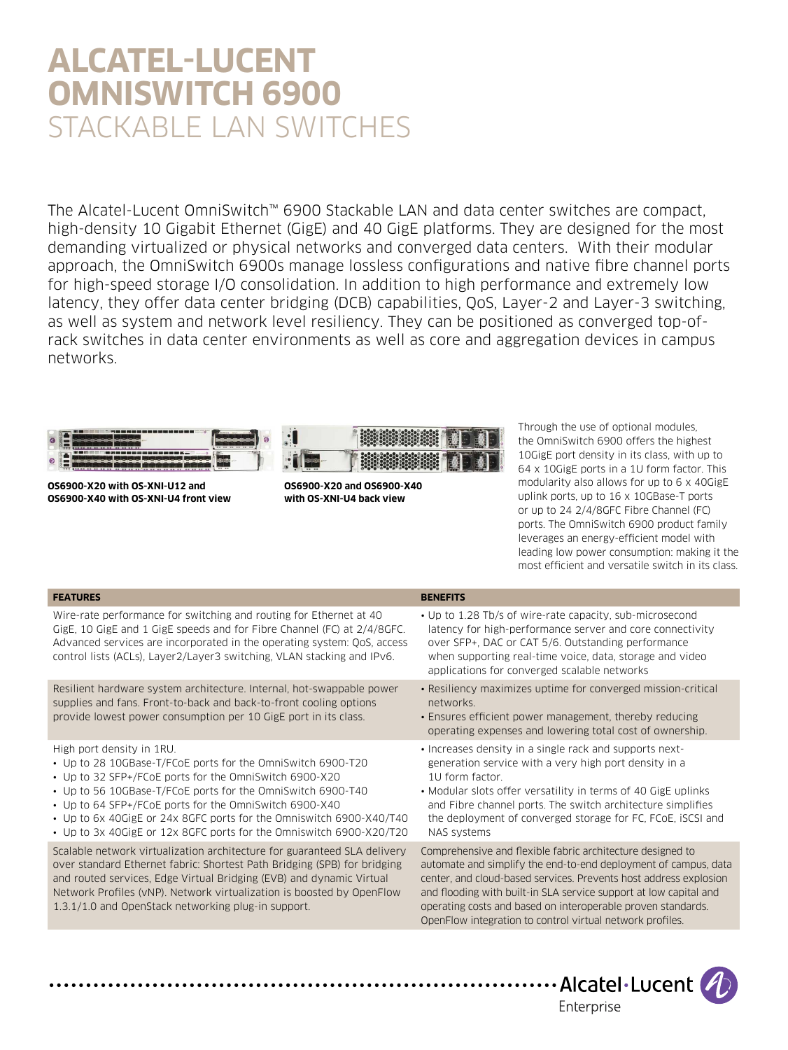# **ALCATEL-LUCENT OMNISWITCH 6900**  STACKABLE LAN SWITCHES

The Alcatel-Lucent OmniSwitch™ 6900 Stackable LAN and data center switches are compact, high-density 10 Gigabit Ethernet (GigE) and 40 GigE platforms. They are designed for the most demanding virtualized or physical networks and converged data centers. With their modular approach, the OmniSwitch 6900s manage lossless configurations and native fibre channel ports for high-speed storage I/O consolidation. In addition to high performance and extremely low latency, they offer data center bridging (DCB) capabilities, QoS, Layer-2 and Layer-3 switching, as well as system and network level resiliency. They can be positioned as converged top-ofrack switches in data center environments as well as core and aggregation devices in campus networks.



**OS6900-X20 with OS-XNI-U12 and OS6900-X40 with OS-XNI-U4 front view**

**OS6900-X20 and OS6900-X40 with OS-XNI-U4 back view**

Through the use of optional modules, the OmniSwitch 6900 offers the highest 10GigE port density in its class, with up to 64 x 10GigE ports in a 1U form factor. This modularity also allows for up to 6 x 40GigE uplink ports, up to 16 x 10GBase-T ports or up to 24 2/4/8GFC Fibre Channel (FC) ports. The OmniSwitch 6900 product family leverages an energy-efficient model with leading low power consumption: making it the most efficient and versatile switch in its class.

## **FEATURES BENEFITS**

Wire-rate performance for switching and routing for Ethernet at 40 GigE, 10 GigE and 1 GigE speeds and for Fibre Channel (FC) at 2/4/8GFC. Advanced services are incorporated in the operating system: QoS, access control lists (ACLs), Layer2/Layer3 switching, VLAN stacking and IPv6.

Resilient hardware system architecture. Internal, hot-swappable power supplies and fans. Front-to-back and back-to-front cooling options provide lowest power consumption per 10 GigE port in its class.

High port density in 1RU.

. . . . . . . . . . . . .

- Up to 28 10GBase-T/FCoE ports for the OmniSwitch 6900-T20
- Up to 32 SFP+/FCoE ports for the OmniSwitch 6900-X20
- Up to 56 10GBase-T/FCoE ports for the OmniSwitch 6900-T40
- Up to 64 SFP+/FCoE ports for the OmniSwitch 6900-X40
- Up to 6x 40GigE or 24x 8GFC ports for the Omniswitch 6900-X40/T40
- Up to 3x 40GigE or 12x 8GFC ports for the Omniswitch 6900-X20/T20

Scalable network virtualization architecture for guaranteed SLA delivery over standard Ethernet fabric: Shortest Path Bridging (SPB) for bridging and routed services, Edge Virtual Bridging (EVB) and dynamic Virtual Network Profiles (vNP). Network virtualization is boosted by OpenFlow 1.3.1/1.0 and OpenStack networking plug-in support.

- Up to 1.28 Tb/s of wire-rate capacity, sub-microsecond latency for high-performance server and core connectivity over SFP+, DAC or CAT 5/6. Outstanding performance when supporting real-time voice, data, storage and video applications for converged scalable networks
- Resiliency maximizes uptime for converged mission-critical networks.
- Ensures efficient power management, thereby reducing operating expenses and lowering total cost of ownership.
- Increases density in a single rack and supports nextgeneration service with a very high port density in a 1U form factor.
- Modular slots offer versatility in terms of 40 GigE uplinks and Fibre channel ports. The switch architecture simplifies the deployment of converged storage for FC, FCoE, iSCSI and NAS systems

Comprehensive and flexible fabric architecture designed to automate and simplify the end-to-end deployment of campus, data center, and cloud-based services. Prevents host address explosion and flooding with built-in SLA service support at low capital and operating costs and based on interoperable proven standards. OpenFlow integration to control virtual network profiles.

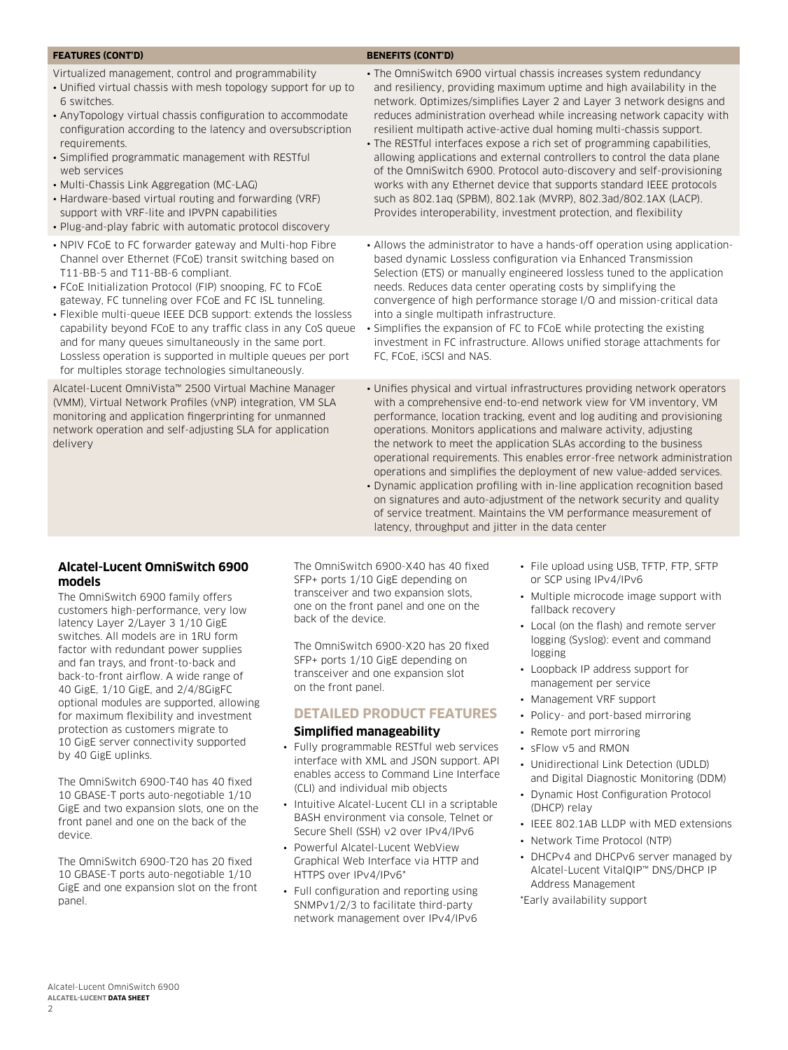#### **FEATURES (CONT'D) BENEFITS (CONT'D)**

Virtualized management, control and programmability

- Unified virtual chassis with mesh topology support for up to 6 switches.
- AnyTopology virtual chassis configuration to accommodate configuration according to the latency and oversubscription requirements.
- Simplified programmatic management with RESTful web services
- Multi-Chassis Link Aggregation (MC-LAG)
- Hardware-based virtual routing and forwarding (VRF) support with VRF-lite and IPVPN capabilities
- Plug-and-play fabric with automatic protocol discovery
- NPIV FCoE to FC forwarder gateway and Multi-hop Fibre Channel over Ethernet (FCoE) transit switching based on T11-BB-5 and T11-BB-6 compliant.
- FCoE Initialization Protocol (FIP) snooping, FC to FCoE gateway, FC tunneling over FCoE and FC ISL tunneling.
- Flexible multi-queue IEEE DCB support: extends the lossless capability beyond FCoE to any traffic class in any CoS queue and for many queues simultaneously in the same port. Lossless operation is supported in multiple queues per port for multiples storage technologies simultaneously.

Alcatel-Lucent OmniVista™ 2500 Virtual Machine Manager (VMM), Virtual Network Profiles (vNP) integration, VM SLA monitoring and application fingerprinting for unmanned network operation and self-adjusting SLA for application delivery

- The OmniSwitch 6900 virtual chassis increases system redundancy and resiliency, providing maximum uptime and high availability in the network. Optimizes/simplifies Layer 2 and Layer 3 network designs and reduces administration overhead while increasing network capacity with resilient multipath active-active dual homing multi-chassis support.
- The RESTful interfaces expose a rich set of programming capabilities, allowing applications and external controllers to control the data plane of the OmniSwitch 6900. Protocol auto-discovery and self-provisioning works with any Ethernet device that supports standard IEEE protocols such as 802.1aq (SPBM), 802.1ak (MVRP), 802.3ad/802.1AX (LACP). Provides interoperability, investment protection, and flexibility
- Allows the administrator to have a hands-off operation using applicationbased dynamic Lossless configuration via Enhanced Transmission Selection (ETS) or manually engineered lossless tuned to the application needs. Reduces data center operating costs by simplifying the convergence of high performance storage I/O and mission-critical data into a single multipath infrastructure.
- Simplifies the expansion of FC to FCoE while protecting the existing investment in FC infrastructure. Allows unified storage attachments for FC, FCoE, iSCSI and NAS.
- Unifies physical and virtual infrastructures providing network operators with a comprehensive end-to-end network view for VM inventory, VM performance, location tracking, event and log auditing and provisioning operations. Monitors applications and malware activity, adjusting the network to meet the application SLAs according to the business operational requirements. This enables error-free network administration operations and simplifies the deployment of new value-added services.
- Dynamic application profiling with in-line application recognition based on signatures and auto-adjustment of the network security and quality of service treatment. Maintains the VM performance measurement of latency, throughput and jitter in the data center

## **Alcatel-Lucent OmniSwitch 6900 models**

The OmniSwitch 6900 family offers customers high-performance, very low latency Layer 2/Layer 3 1/10 GigE switches. All models are in 1RU form factor with redundant power supplies and fan trays, and front-to-back and back-to-front airflow. A wide range of 40 GigE, 1/10 GigE, and 2/4/8GigFC optional modules are supported, allowing for maximum flexibility and investment protection as customers migrate to 10 GigE server connectivity supported by 40 GigE uplinks.

The OmniSwitch 6900-T40 has 40 fixed 10 GBASE-T ports auto-negotiable 1/10 GigE and two expansion slots, one on the front panel and one on the back of the device.

The OmniSwitch 6900-T20 has 20 fixed 10 GBASE-T ports auto-negotiable 1/10 GigE and one expansion slot on the front panel.

The OmniSwitch 6900-X40 has 40 fixed SFP+ ports 1/10 GigE depending on transceiver and two expansion slots, one on the front panel and one on the back of the device.

The OmniSwitch 6900-X20 has 20 fixed SFP+ ports 1/10 GigE depending on transceiver and one expansion slot on the front panel.

## **Detailed product features**

## **Simplified manageability**

- Fully programmable RESTful web services interface with XML and JSON support. API enables access to Command Line Interface (CLI) and individual mib objects
- Intuitive Alcatel-Lucent CLI in a scriptable BASH environment via console, Telnet or Secure Shell (SSH) v2 over IPv4/IPv6
- Powerful Alcatel-Lucent WebView Graphical Web Interface via HTTP and HTTPS over IPv4/IPv6\*
- Full configuration and reporting using SNMPv1/2/3 to facilitate third-party network management over IPv4/IPv6
- File upload using USB, TFTP, FTP, SFTP or SCP using IPv4/IPv6
- Multiple microcode image support with fallback recovery
- Local (on the flash) and remote server logging (Syslog): event and command logging
- Loopback IP address support for management per service
- Management VRF support
- Policy- and port-based mirroring
- Remote port mirroring
- sFlow v5 and RMON
- Unidirectional Link Detection (UDLD) and Digital Diagnostic Monitoring (DDM)
- Dynamic Host Configuration Protocol (DHCP) relay
- IEEE 802.1AB LLDP with MED extensions
- Network Time Protocol (NTP)
- DHCPv4 and DHCPv6 server managed by Alcatel-Lucent VitalQIP™ DNS/DHCP IP Address Management

\*Early availability support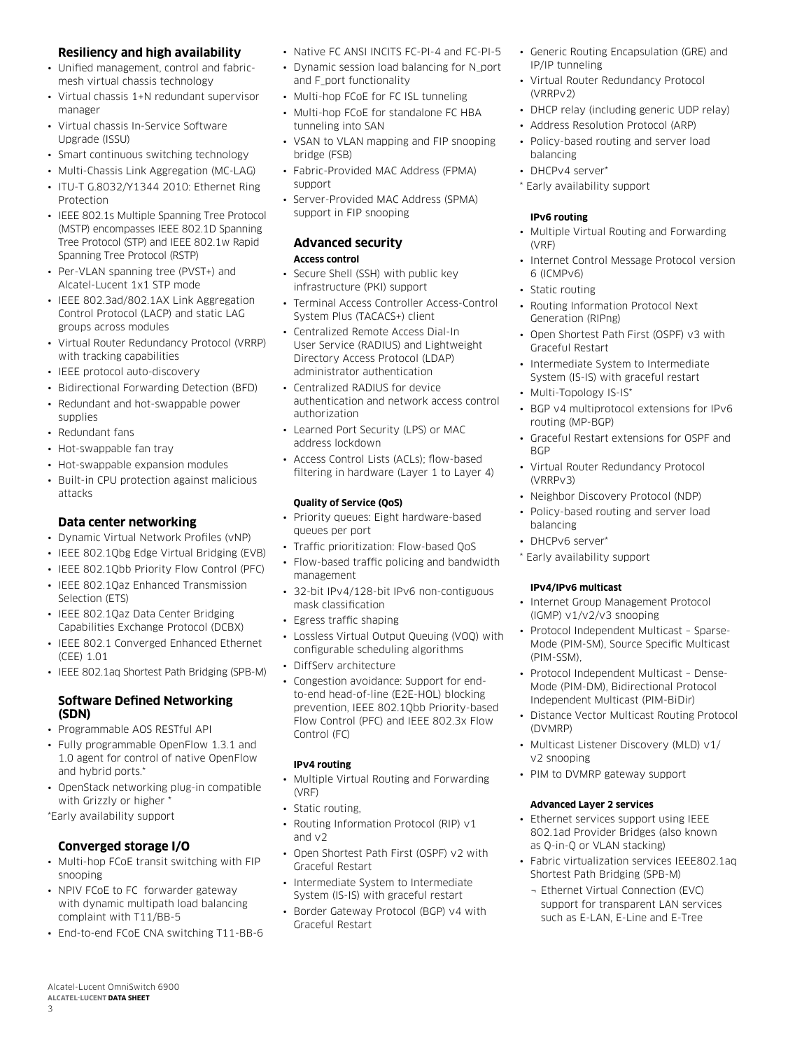## **Resiliency and high availability**

- Unified management, control and fabricmesh virtual chassis technology
- Virtual chassis 1+N redundant supervisor manager
- Virtual chassis In-Service Software Upgrade (ISSU)
- Smart continuous switching technology
- Multi-Chassis Link Aggregation (MC-LAG)
- ITU-T G.8032/Y1344 2010: Ethernet Ring Protection
- IEEE 802.1s Multiple Spanning Tree Protocol (MSTP) encompasses IEEE 802.1D Spanning Tree Protocol (STP) and IEEE 802.1w Rapid Spanning Tree Protocol (RSTP)
- Per-VLAN spanning tree (PVST+) and Alcatel-Lucent 1x1 STP mode
- IEEE 802.3ad/802.1AX Link Aggregation Control Protocol (LACP) and static LAG groups across modules
- Virtual Router Redundancy Protocol (VRRP) with tracking capabilities
- IEEE protocol auto-discovery
- Bidirectional Forwarding Detection (BFD)
- Redundant and hot-swappable power supplies
- Redundant fans
- Hot-swappable fan tray
- Hot-swappable expansion modules
- Built-in CPU protection against malicious attacks

## **Data center networking**

- Dynamic Virtual Network Profiles (vNP)
- IEEE 802.1Qbg Edge Virtual Bridging (EVB)
- IEEE 802.1Qbb Priority Flow Control (PFC)
- IEEE 802.1Qaz Enhanced Transmission Selection (ETS)
- IEEE 802.1Qaz Data Center Bridging Capabilities Exchange Protocol (DCBX)
- IEEE 802.1 Converged Enhanced Ethernet (CEE) 1.01
- IEEE 802.1aq Shortest Path Bridging (SPB-M)

## **Software Defined Networking (SDN)**

- Programmable AOS RESTful API
- Fully programmable OpenFlow 1.3.1 and 1.0 agent for control of native OpenFlow and hybrid ports.'
- OpenStack networking plug-in compatible with Grizzly or higher

\*Early availability support

## **Converged storage I/O**

- Multi-hop FCoE transit switching with FIP snooping
- NPIV FCoE to FC forwarder gateway with dynamic multipath load balancing complaint with T11/BB-5
- End-to-end FCoE CNA switching T11-BB-6
- Native FC ANSI INCITS FC-PI-4 and FC-PI-5
- Dynamic session load balancing for N\_port and F\_port functionality
- Multi-hop FCoE for FC ISL tunneling
- Multi-hop FCoE for standalone FC HBA tunneling into SAN
- VSAN to VLAN mapping and FIP snooping bridge (FSB)
- Fabric-Provided MAC Address (FPMA) support
- Server-Provided MAC Address (SPMA) support in FIP snooping

#### **Advanced security Access control**

- Secure Shell (SSH) with public key infrastructure (PKI) support
- Terminal Access Controller Access-Control System Plus (TACACS+) client
- Centralized Remote Access Dial-In User Service (RADIUS) and Lightweight Directory Access Protocol (LDAP) administrator authentication
- Centralized RADIUS for device authentication and network access control authorization
- Learned Port Security (LPS) or MAC address lockdown
- Access Control Lists (ACLs); flow-based filtering in hardware (Layer 1 to Layer 4)

## **Quality of Service (QoS)**

- Priority queues: Eight hardware-based queues per port
- Traffic prioritization: Flow-based QoS
- Flow-based traffic policing and bandwidth management
- 32-bit IPv4/128-bit IPv6 non-contiguous mask classification
- Egress traffic shaping
- Lossless Virtual Output Queuing (VOQ) with configurable scheduling algorithms
- DiffServ architecture
- Congestion avoidance: Support for endto-end head-of-line (E2E-HOL) blocking prevention, IEEE 802.1Qbb Priority-based Flow Control (PFC) and IEEE 802.3x Flow Control (FC)

## **IPv4 routing**

- Multiple Virtual Routing and Forwarding (VRF)
- Static routing,
- Routing Information Protocol (RIP) v1 and v2
- Open Shortest Path First (OSPF) v2 with Graceful Restart
- Intermediate System to Intermediate System (IS-IS) with graceful restart
- Border Gateway Protocol (BGP) v4 with Graceful Restart
- Generic Routing Encapsulation (GRE) and IP/IP tunneling
- Virtual Router Redundancy Protocol (VRRPv2)
- DHCP relay (including generic UDP relay)
- Address Resolution Protocol (ARP)
- Policy-based routing and server load balancing
- DHCPv4 server\*
- \* Early availability support

## **IPv6 routing**

- Multiple Virtual Routing and Forwarding (VRF)
- Internet Control Message Protocol version 6 (ICMPv6)
- Static routing
- Routing Information Protocol Next Generation (RIPng)
- Open Shortest Path First (OSPF) v3 with Graceful Restart
- Intermediate System to Intermediate System (IS-IS) with graceful restart
- Multi-Topology IS-IS\*
- BGP v4 multiprotocol extensions for IPv6 routing (MP-BGP)
- Graceful Restart extensions for OSPF and **BGP**
- Virtual Router Redundancy Protocol (VRRPv3)
- Neighbor Discovery Protocol (NDP)
- Policy-based routing and server load balancing
- DHCPv6 server\*
- \* Early availability support

## **IPv4/IPv6 multicast**

- Internet Group Management Protocol (IGMP) v1/v2/v3 snooping
- Protocol Independent Multicast Sparse-Mode (PIM-SM), Source Specific Multicast (PIM-SSM),
- Protocol Independent Multicast Dense-Mode (PIM-DM), Bidirectional Protocol Independent Multicast (PIM-BiDir)
- Distance Vector Multicast Routing Protocol (DVMRP)
- Multicast Listener Discovery (MLD) v1/ v2 snooping
- PIM to DVMRP gateway support

## **Advanced Layer 2 services**

- Ethernet services support using IEEE 802.1ad Provider Bridges (also known as Q-in-Q or VLAN stacking)
- Fabric virtualization services IEEE802.1aq Shortest Path Bridging (SPB-M)
	- ¬ Ethernet Virtual Connection (EVC) support for transparent LAN services such as E-LAN, E-Line and E-Tree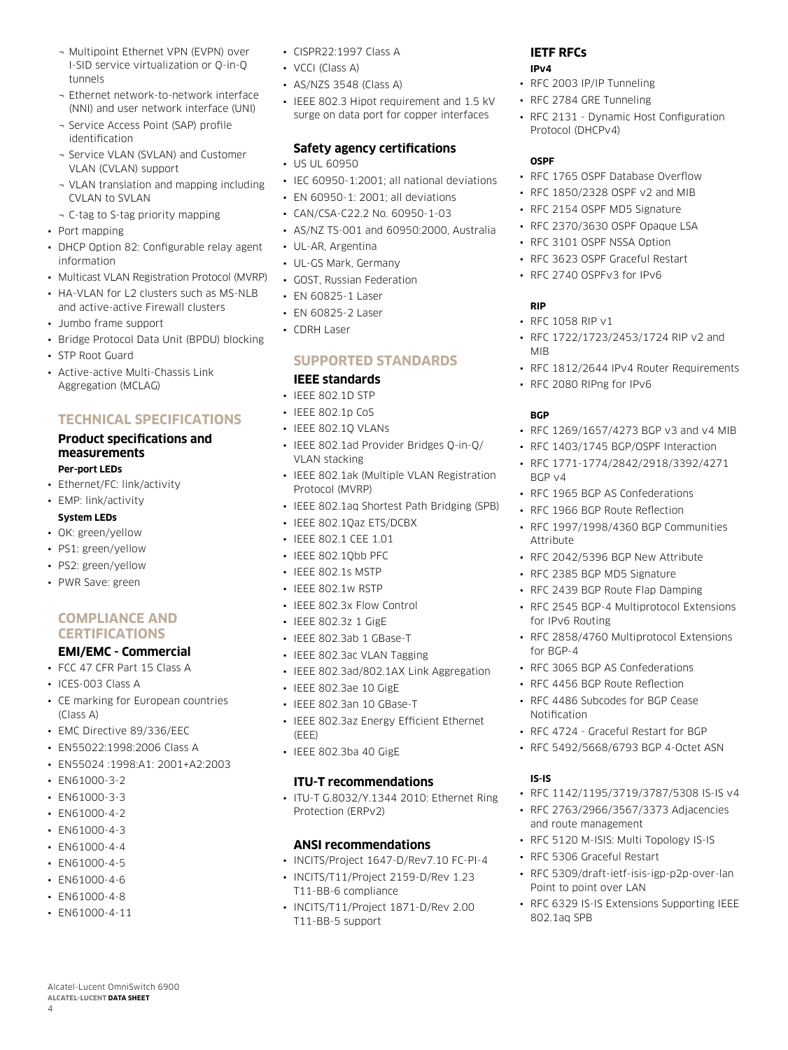- ¬ Multipoint Ethernet VPN (EVPN) over I-SID service virtualization or Q-in-Q tunnels
- ¬ Ethernet network-to-network interface (NNI) and user network interface (UNI)
- ¬ Service Access Point (SAP) profile identification
- ¬ Service VLAN (SVLAN) and Customer VLAN (CVLAN) support
- ¬ VLAN translation and mapping including CVLAN to SVLAN
- ¬ C-tag to S-tag priority mapping
- Port mapping
- DHCP Option 82: Configurable relay agent information
- Multicast VLAN Registration Protocol (MVRP)
- HA-VLAN for L2 clusters such as MS-NLB and active-active Firewall clusters
- Jumbo frame support
- Bridge Protocol Data Unit (BPDU) blocking
- STP Root Guard
- Active-active Multi-Chassis Link Aggregation (MCLAG)

## **TECHNICAL SPECIFICATIONS**

## **Product specifications and measurements Per-port LEDs**

• Ethernet/FC: link/activity

## • EMP: link/activity

- **System LEDs**
- OK: green/yellow
- PS1: green/yellow
- PS2: green/yellow
- PWR Save: green

## **Compliance and certifications**

# **EMI/EMC - Commercial**

- FCC 47 CFR Part 15 Class A
- ICES-003 Class A
- CE marking for European countries (Class A)
- EMC Directive 89/336/EEC
- EN55022:1998:2006 Class A
- EN55024 :1998:A1: 2001+A2:2003
- EN61000-3-2
- EN61000-3-3
- $\cdot$  FN61000-4-2
- EN61000-4-3
- EN61000-4-4
- EN61000-4-5
- EN61000-4-6
- EN61000-4-8
- EN61000-4-11

Alcatel-Lucent OmniSwitch 6900 **Alcatel-Lucent Data sheet**

4

- CISPR22:1997 Class A
- VCCI (Class A)
- AS/NZS 3548 (Class A)
- IEEE 802.3 Hipot requirement and 1.5 kV surge on data port for copper interfaces

## **Safety agency certifications**

- US UL 60950
- IEC 60950-1:2001; all national deviations
- EN 60950-1: 2001; all deviations
- CAN/CSA-C22.2 No. 60950-1-03
- AS/NZ TS-001 and 60950:2000, Australia
- UL-AR, Argentina
- UL-GS Mark, Germany
- GOST, Russian Federation
- EN 60825-1 Laser
- EN 60825-2 Laser
- CDRH Laser

## **Supported standards**

## **IEEE standards**

- IEEE 802.1D STP
- IEEE 802.1p CoS
- IEEE 802.1Q VLANs
- IEEE 802.1ad Provider Bridges Q-in-Q/ VLAN stacking
- IEEE 802.1ak (Multiple VLAN Registration Protocol (MVRP)
- IEEE 802.1aq Shortest Path Bridging (SPB)
- IEEE 802.1Qaz ETS/DCBX
- IEEE 802.1 CEE 1.01
- IEEE 802.10bb PFC
- IEEE 802.1s MSTP
- IEEE 802.1w RSTP
- IEEE 802.3x Flow Control
- IEEE 802.3z 1 GigE
- IEEE 802.3ab 1 GBase-T
- IEEE 802.3ac VLAN Tagging
- IEEE 802.3ad/802.1AX Link Aggregation
- IEEE 802.3ae 10 GigE
- IEEE 802.3an 10 GBase-T
- IEEE 802.3az Energy Efficient Ethernet (EEE)
- IEEE 802.3ba 40 GigE

## **ITU-T recommendations**

• ITU-T G.8032/Y.1344 2010: Ethernet Ring Protection (ERPv2)

## **ANSI recommendations**

- INCITS/Project 1647-D/Rev7.10 FC-PI-4
- INCITS/T11/Project 2159-D/Rev 1.23 T11-BB-6 compliance
- INCITS/T11/Project 1871-D/Rev 2.00 T11-BB-5 support

# **IETF RFCs**

- **IPv4**
- RFC 2003 IP/IP Tunneling
- RFC 2784 GRE Tunneling
- RFC 2131 Dynamic Host Configuration Protocol (DHCPv4)

## **OSPF**

- REC 1765 OSPE Database Overflow
- RFC 1850/2328 OSPF v2 and MIB
- RFC 2154 OSPF MD5 Signature
- RFC 2370/3630 OSPF Opaque LSA
- RFC 3101 OSPF NSSA Option
- RFC 3623 OSPF Graceful Restart
- RFC 2740 OSPFv3 for IPv6

• RFC 2080 RIPng for IPv6

## **RIP**

**BGP**

BGP v4

**Attribute** 

for IPv6 Routing

for BGP-4

Notification

**IS-IS**

- RFC 1058 RIP v1
- RFC 1722/1723/2453/1724 RIP v2 and MIB

• RFC 1812/2644 IPv4 Router Requirements

• RFC 1269/1657/4273 BGP v3 and v4 MIB • RFC 1403/1745 BGP/OSPF Interaction • RFC 1771-1774/2842/2918/3392/4271

• RFC 1997/1998/4360 BGP Communities

• RFC 2858/4760 Multiprotocol Extensions

• RFC 3065 BGP AS Confederations • RFC 4456 BGP Route Reflection • RFC 4486 Subcodes for BGP Cease

• RFC 4724 - Graceful Restart for BGP • RFC 5492/5668/6793 BGP 4-Octet ASN

and route management

• RFC 5306 Graceful Restart

Point to point over LAN

802.1aq SPB

• RFC 1142/1195/3719/3787/5308 IS-IS v4 • RFC 2763/2966/3567/3373 Adjacencies

• RFC 5120 M-ISIS: Multi Topology IS-IS

• RFC 5309/draft-ietf-isis-igp-p2p-over-lan

• RFC 6329 IS-IS Extensions Supporting IEEE

• RFC 1965 BGP AS Confederations • RFC 1966 BGP Route Reflection

• RFC 2042/5396 BGP New Attribute • RFC 2385 BGP MD5 Signature • RFC 2439 BGP Route Flap Damping • RFC 2545 BGP-4 Multiprotocol Extensions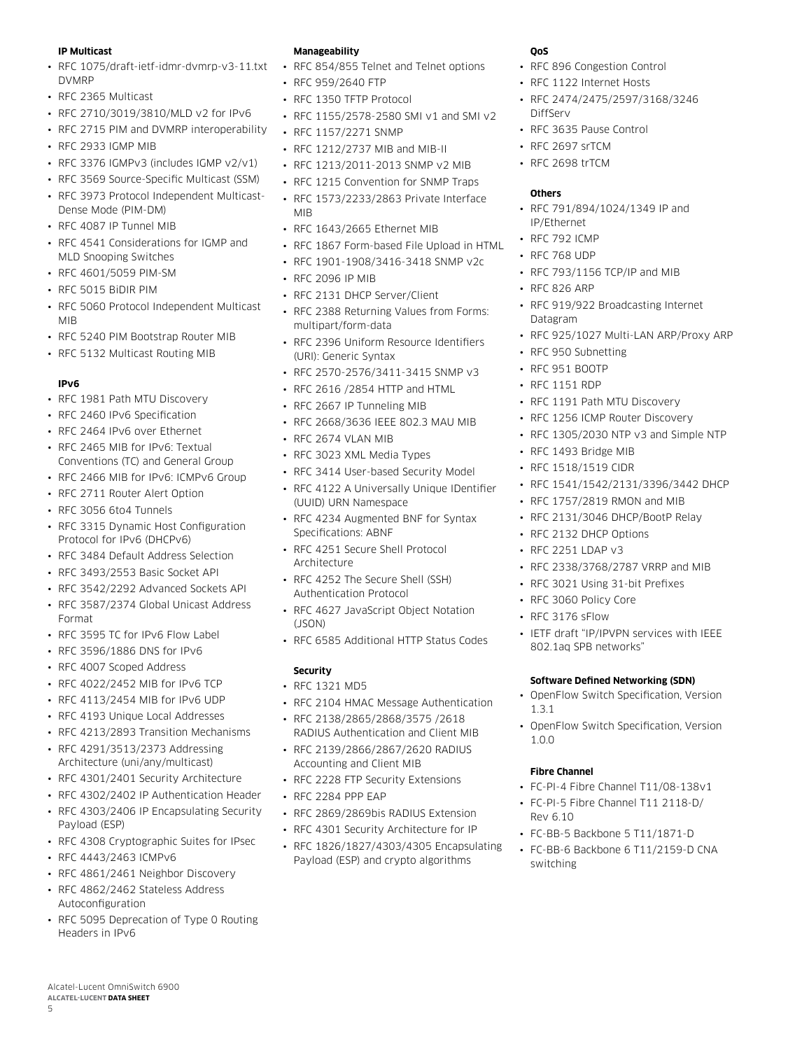#### **IP Multicast**

- RFC 1075/draft-ietf-idmr-dvmrp-v3-11.txt DVMRP
- RFC 2365 Multicast
- RFC 2710/3019/3810/MLD v2 for IPv6
- RFC 2715 PIM and DVMRP interoperability
- RFC 2933 IGMP MIB
- RFC 3376 IGMPv3 (includes IGMP v2/v1)
- RFC 3569 Source-Specific Multicast (SSM)
- RFC 3973 Protocol Independent Multicast-Dense Mode (PIM-DM)
- RFC 4087 IP Tunnel MIB
- RFC 4541 Considerations for IGMP and MLD Snooping Switches
- RFC 4601/5059 PIM-SM
- RFC 5015 BiDIR PIM
- RFC 5060 Protocol Independent Multicast MIB
- RFC 5240 PIM Bootstrap Router MIB
- RFC 5132 Multicast Routing MIB

## **IPv6**

- RFC 1981 Path MTU Discovery
- RFC 2460 IPv6 Specification
- RFC 2464 IPv6 over Ethernet
- RFC 2465 MIB for IPv6: Textual Conventions (TC) and General Group
- RFC 2466 MIB for IPv6: ICMPv6 Group
- RFC 2711 Router Alert Option
- RFC 3056 6to4 Tunnels
- RFC 3315 Dynamic Host Configuration Protocol for IPv6 (DHCPv6)
- RFC 3484 Default Address Selection
- RFC 3493/2553 Basic Socket API
- RFC 3542/2292 Advanced Sockets API
- RFC 3587/2374 Global Unicast Address Format
- RFC 3595 TC for IPv6 Flow Label
- RFC 3596/1886 DNS for IPv6
- RFC 4007 Scoped Address
- RFC 4022/2452 MIB for IPv6 TCP
- RFC 4113/2454 MIB for IPv6 UDP
- RFC 4193 Unique Local Addresses
- RFC 4213/2893 Transition Mechanisms
- RFC 4291/3513/2373 Addressing Architecture (uni/any/multicast)
- RFC 4301/2401 Security Architecture
- RFC 4302/2402 IP Authentication Header
- RFC 4303/2406 IP Encapsulating Security Payload (ESP)
- RFC 4308 Cryptographic Suites for IPsec
- RFC 4443/2463 ICMPv6

Alcatel-Lucent OmniSwitch 6900 **Alcatel-Lucent Data sheet**

5

- RFC 4861/2461 Neighbor Discovery
- RFC 4862/2462 Stateless Address Autoconfiguration
- RFC 5095 Deprecation of Type 0 Routing Headers in IPv6

#### **Manageability**

- RFC 854/855 Telnet and Telnet options
- RFC 959/2640 FTP
- RFC 1350 TFTP Protocol
- RFC 1155/2578-2580 SMI v1 and SMI v2
- RFC 1157/2271 SNMP
- RFC 1212/2737 MIB and MIB-II
- RFC 1213/2011-2013 SNMP v2 MIB
- RFC 1215 Convention for SNMP Traps
- RFC 1573/2233/2863 Private Interface MIB
- RFC 1643/2665 Ethernet MIB
- RFC 1867 Form-based File Upload in HTML
- RFC 1901-1908/3416-3418 SNMP v2c
- RFC 2096 IP MIB
- RFC 2131 DHCP Server/Client
- RFC 2388 Returning Values from Forms: multipart/form-data
- RFC 2396 Uniform Resource Identifiers (URI): Generic Syntax
- RFC 2570-2576/3411-3415 SNMP v3
- RFC 2616 /2854 HTTP and HTML
- RFC 2667 IP Tunneling MIB
- RFC 2668/3636 IEEE 802.3 MAU MIB
- RFC 2674 VLAN MIB
- RFC 3023 XML Media Types
- RFC 3414 User-based Security Model
- RFC 4122 A Universally Unique IDentifier (UUID) URN Namespace
- RFC 4234 Augmented BNF for Syntax Specifications: ABNF
- RFC 4251 Secure Shell Protocol Architecture
- RFC 4252 The Secure Shell (SSH) Authentication Protocol
- RFC 4627 JavaScript Object Notation  $($  $ISON)$
- RFC 6585 Additional HTTP Status Codes

## **Security**

- RFC 1321 MD5
- RFC 2104 HMAC Message Authentication
- RFC 2138/2865/2868/3575 /2618 RADIUS Authentication and Client MIB
- RFC 2139/2866/2867/2620 RADIUS Accounting and Client MIB
- RFC 2228 FTP Security Extensions
- RFC 2284 PPP EAP
- RFC 2869/2869bis RADIUS Extension
- RFC 4301 Security Architecture for IP
- RFC 1826/1827/4303/4305 Encapsulating Payload (ESP) and crypto algorithms

#### **QoS**

- RFC 896 Congestion Control
- RFC 1122 Internet Hosts
- RFC 2474/2475/2597/3168/3246 DiffServ
- RFC 3635 Pause Control
- RFC 2697 srTCM
- RFC 2698 trTCM

## **Others**

- RFC 791/894/1024/1349 IP and IP/Ethernet
- RFC 792 ICMP
- RFC 768 UDP
- RFC 793/1156 TCP/IP and MIB

• RFC 1191 Path MTU Discovery • RFC 1256 ICMP Router Discovery • RFC 1305/2030 NTP v3 and Simple NTP

• RFC 1757/2819 RMON and MIB • RFC 2131/3046 DHCP/BootP Relay

• RFC 826 ARP

• RFC 950 Subnetting • RFC 951 BOOTP • RFC 1151 RDP

• RFC 1493 Bridge MIB • RFC 1518/1519 CIDR

• RFC 2132 DHCP Options • RFC 2251 LDAP v3

• RFC 3060 Policy Core • RFC 3176 sFlow

802.1aq SPB networks"

1.3.1

1.0.0

**Fibre Channel**

Rev 6.10

switching

- RFC 919/922 Broadcasting Internet Datagram
- RFC 925/1027 Multi-LAN ARP/Proxy ARP

• RFC 1541/1542/2131/3396/3442 DHCP

• RFC 2338/3768/2787 VRRP and MIB • RFC 3021 Using 31-bit Prefixes

• IETF draft "IP/IPVPN services with IEEE

**Software Defined Networking (SDN)** • OpenFlow Switch Specification, Version

• OpenFlow Switch Specification, Version

• FC-PI-4 Fibre Channel T11/08-138v1 • FC-PI-5 Fibre Channel T11 2118-D/

• FC-BB-5 Backbone 5 T11/1871-D • FC-BB-6 Backbone 6 T11/2159-D CNA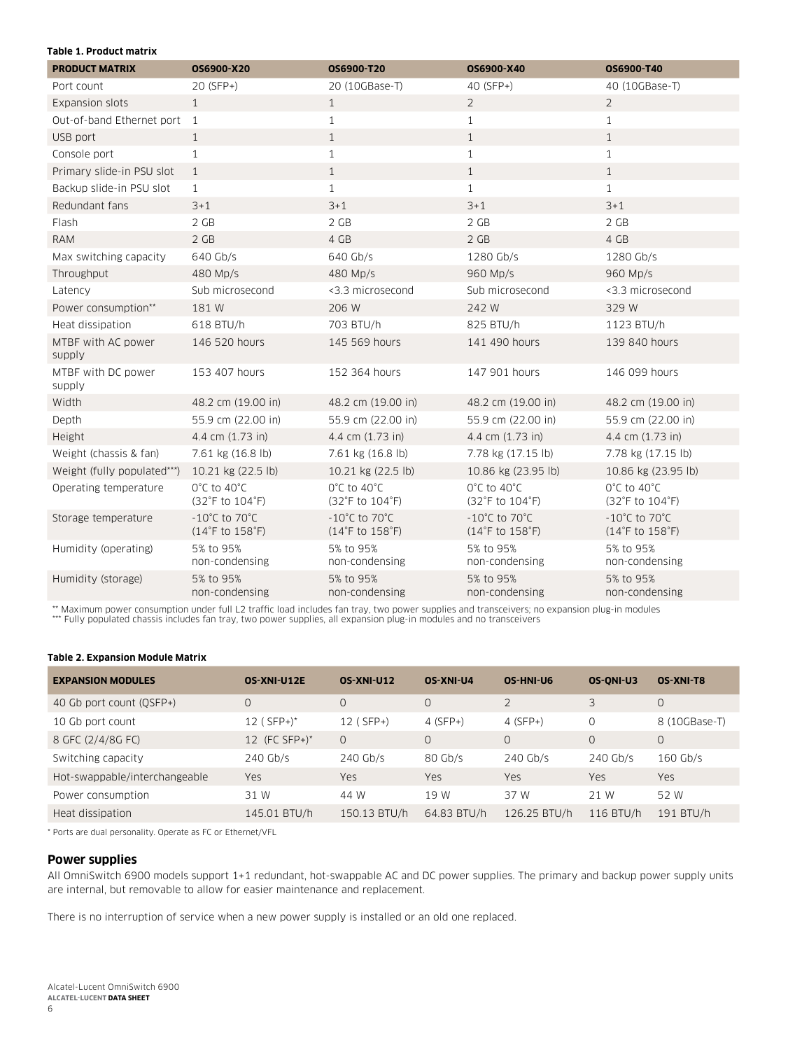#### **Table 1. Product matrix**

| <b>PRODUCT MATRIX</b>        | OS6900-X20                                            | OS6900-T20                                            | OS6900-X40                                            | OS6900-T40                                            |
|------------------------------|-------------------------------------------------------|-------------------------------------------------------|-------------------------------------------------------|-------------------------------------------------------|
| Port count                   | 20 (SFP+)                                             | 20 (10GBase-T)                                        | 40 (SFP+)                                             | 40 (10GBase-T)                                        |
| Expansion slots              | $\mathbf{1}$                                          | $\mathbf{1}$                                          | 2                                                     | 2                                                     |
| Out-of-band Ethernet port    | $\overline{1}$                                        | $\mathbf{1}$                                          | $\mathbf{1}$                                          | $\mathbf{1}$                                          |
| USB port                     | $\mathbf{1}$                                          | $\mathbf{1}$                                          | $\mathbf{1}$                                          | $\mathbf{1}$                                          |
| Console port                 | $\mathbf{1}$                                          | $\mathbf{1}$                                          | $\mathbf{1}$                                          | $\mathbf{1}$                                          |
| Primary slide-in PSU slot    | $\mathbf{1}$                                          | $\mathbf{1}$                                          | $\mathbf{1}$                                          | $\mathbf{1}$                                          |
| Backup slide-in PSU slot     | $\mathbf{1}$                                          | $\mathbf{1}$                                          | $\mathbf{1}$                                          | $\mathbf{1}$                                          |
| Redundant fans               | $3 + 1$                                               | $3 + 1$                                               | $3 + 1$                                               | $3 + 1$                                               |
| Flash                        | 2 GB                                                  | 2 GB                                                  | 2 GB                                                  | 2 GB                                                  |
| <b>RAM</b>                   | 2 GB                                                  | 4 GB                                                  | 2 GB                                                  | 4 GB                                                  |
| Max switching capacity       | 640 Gb/s                                              | 640 Gb/s                                              | 1280 Gb/s                                             | 1280 Gb/s                                             |
| Throughput                   | 480 Mp/s                                              | 480 Mp/s                                              | 960 Mp/s                                              | 960 Mp/s                                              |
| Latency                      | Sub microsecond                                       | <3.3 microsecond                                      | Sub microsecond                                       | <3.3 microsecond                                      |
| Power consumption**          | 181 W                                                 | 206 W                                                 | 242 W                                                 | 329 W                                                 |
| Heat dissipation             | 618 BTU/h                                             | 703 BTU/h                                             | 825 BTU/h                                             | 1123 BTU/h                                            |
| MTBF with AC power<br>supply | 146 520 hours                                         | 145 569 hours                                         | 141 490 hours                                         | 139 840 hours                                         |
| MTBF with DC power<br>supply | 153 407 hours                                         | 152 364 hours                                         | 147 901 hours                                         | 146 099 hours                                         |
| Width                        | 48.2 cm (19.00 in)                                    | 48.2 cm (19.00 in)                                    | 48.2 cm (19.00 in)                                    | 48.2 cm (19.00 in)                                    |
| Depth                        | 55.9 cm (22.00 in)                                    | 55.9 cm (22.00 in)                                    | 55.9 cm (22.00 in)                                    | 55.9 cm (22.00 in)                                    |
| Height                       | 4.4 cm (1.73 in)                                      | 4.4 cm (1.73 in)                                      | 4.4 cm (1.73 in)                                      | 4.4 cm (1.73 in)                                      |
| Weight (chassis & fan)       | 7.61 kg (16.8 lb)                                     | 7.61 kg (16.8 lb)                                     | 7.78 kg (17.15 lb)                                    | 7.78 kg (17.15 lb)                                    |
| Weight (fully populated***)  | 10.21 kg (22.5 lb)                                    | 10.21 kg (22.5 lb)                                    | 10.86 kg (23.95 lb)                                   | 10.86 kg (23.95 lb)                                   |
| Operating temperature        | 0°C to 40°C<br>(32°F to 104°F)                        | $0^{\circ}$ C to 40 $^{\circ}$ C<br>(32°F to 104°F)   | $0^{\circ}$ C to 40 $^{\circ}$ C<br>(32°F to 104°F)   | $0^{\circ}$ C to 40 $^{\circ}$ C<br>(32°F to 104°F)   |
| Storage temperature          | $-10^{\circ}$ C to 70 $^{\circ}$ C<br>(14°F to 158°F) | $-10^{\circ}$ C to 70 $^{\circ}$ C<br>(14°F to 158°F) | $-10^{\circ}$ C to 70 $^{\circ}$ C<br>(14°F to 158°F) | $-10^{\circ}$ C to 70 $^{\circ}$ C<br>(14°F to 158°F) |
| Humidity (operating)         | 5% to 95%<br>non-condensing                           | 5% to 95%<br>non-condensing                           | 5% to 95%<br>non-condensing                           | 5% to 95%<br>non-condensing                           |
| Humidity (storage)           | 5% to 95%<br>non-condensing                           | 5% to 95%<br>non-condensing                           | 5% to 95%<br>non-condensing                           | 5% to 95%<br>non-condensing                           |

\*\* Maximum power consumption under full L2 traffic load includes fan tray, two power supplies and transceivers; no expansion plug-in modules<br>\*\*\* Fully populated chassis includes fan tray, two power supplies, all expansion

## **Table 2. Expansion Module Matrix**

| <b>EXPANSION MODULES</b>      | OS-XNI-U12E              | <b>OS-XNI-U12</b> | <b>OS XNI U4</b> | OS-HNI-U6      | <b>OS-ONI-U3</b> | OS-XNI-T8     |
|-------------------------------|--------------------------|-------------------|------------------|----------------|------------------|---------------|
| 40 Gb port count (OSFP+)      | 0                        | $\circ$           | 0                | $\overline{2}$ | 3                | 0             |
| 10 Gb port count              | $12$ (SFP+) <sup>*</sup> | 12 (SFP+)         | $4(SFP+)$        | $4(SFP+)$      | 0                | 8 (10GBase-T) |
| 8 GFC (2/4/8G FC)             | 12 (FC SFP+) $*$         | $\Omega$          | 0                | $\overline{0}$ | $\Omega$         | 0             |
| Switching capacity            | $240$ Gb/s               | $240$ Gb/s        | $80$ Gb/s        | $240$ Gb/s     | $240$ Gb/s       | $160$ Gb/s    |
| Hot-swappable/interchangeable | Yes                      | <b>Yes</b>        | Yes              | <b>Yes</b>     | Yes              | Yes           |
| Power consumption             | 31 W                     | 44 W              | 19 W             | 37 W           | 21 W             | 52 W          |
| Heat dissipation              | 145.01 BTU/h             | 150.13 BTU/h      | 64.83 BTU/h      | 126.25 BTU/h   | 116 BTU/h        | 191 BTU/h     |

\* Ports are dual personality. Operate as FC or Ethernet/VFL

## **Power supplies**

All OmniSwitch 6900 models support 1+1 redundant, hot-swappable AC and DC power supplies. The primary and backup power supply units are internal, but removable to allow for easier maintenance and replacement.

There is no interruption of service when a new power supply is installed or an old one replaced.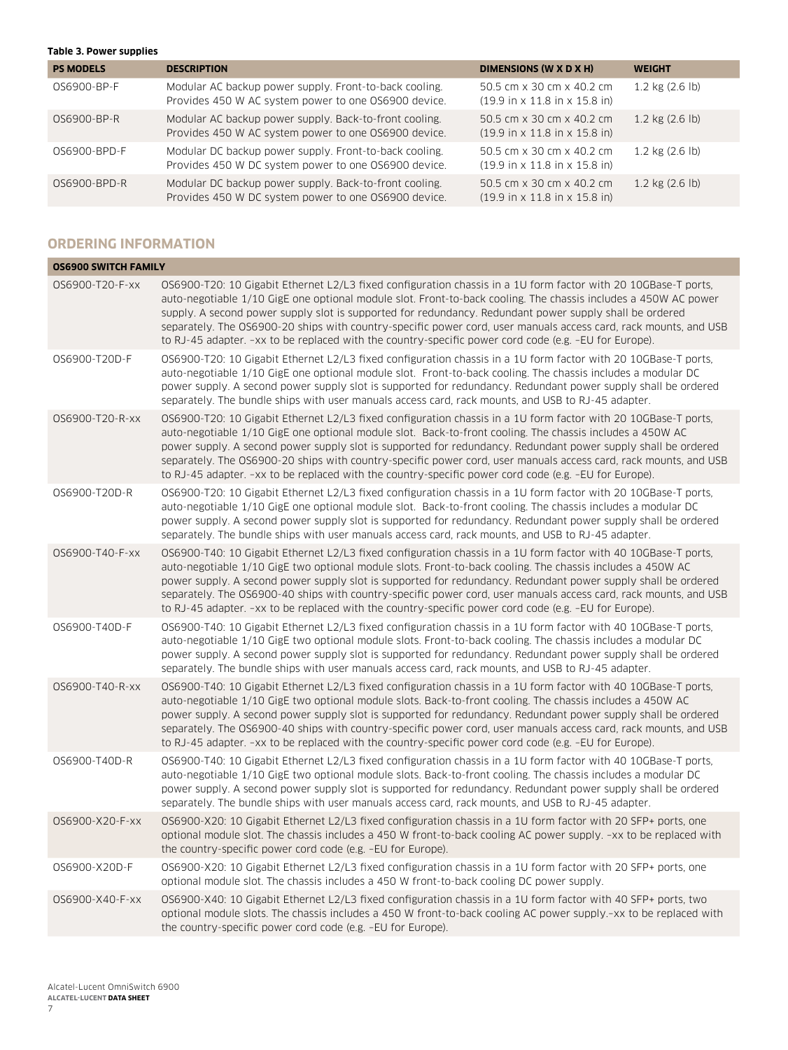#### **Table 3. Power supplies**

| <b>PS MODELS</b> | <b>DESCRIPTION</b>                                                                                             | DIMENSIONS (W X D X H)                                                                 | <b>WEIGHT</b>        |
|------------------|----------------------------------------------------------------------------------------------------------------|----------------------------------------------------------------------------------------|----------------------|
| 0S6900-BP-F      | Modular AC backup power supply. Front-to-back cooling.<br>Provides 450 W AC system power to one OS6900 device. | 50.5 cm x 30 cm x 40.2 cm<br>$(19.9 \text{ in } x 11.8 \text{ in } x 15.8 \text{ in})$ | $1.2$ kg $(2.6)$ lb) |
| 0S6900-BP-R      | Modular AC backup power supply. Back-to-front cooling.<br>Provides 450 W AC system power to one OS6900 device. | 50.5 cm x 30 cm x 40.2 cm<br>$(19.9 \text{ in } x 11.8 \text{ in } x 15.8 \text{ in})$ | $1.2$ kg $(2.6)$ lb) |
| 0S6900-BPD-F     | Modular DC backup power supply. Front-to-back cooling.<br>Provides 450 W DC system power to one OS6900 device. | 50.5 cm x 30 cm x 40.2 cm<br>$(19.9 \text{ in } x 11.8 \text{ in } x 15.8 \text{ in})$ | $1.2$ kg $(2.6)$ lb) |
| 0S6900-BPD-R     | Modular DC backup power supply. Back-to-front cooling.<br>Provides 450 W DC system power to one OS6900 device. | 50.5 cm x 30 cm x 40.2 cm<br>$(19.9 \text{ in } x 11.8 \text{ in } x 15.8 \text{ in})$ | $1.2$ kg $(2.6)$ lb) |

## **ORDERING INFORMATION**

| <b>OS6900 SWITCH FAMILY</b> |                                                                                                                                                                                                                                                                                                                                                                                                                                                                                                                                                                            |
|-----------------------------|----------------------------------------------------------------------------------------------------------------------------------------------------------------------------------------------------------------------------------------------------------------------------------------------------------------------------------------------------------------------------------------------------------------------------------------------------------------------------------------------------------------------------------------------------------------------------|
| 0S6900-T20-F-xx             | OS6900-T20: 10 Gigabit Ethernet L2/L3 fixed configuration chassis in a 1U form factor with 20 10GBase-T ports,<br>auto-negotiable 1/10 GigE one optional module slot. Front-to-back cooling. The chassis includes a 450W AC power<br>supply. A second power supply slot is supported for redundancy. Redundant power supply shall be ordered<br>separately. The OS6900-20 ships with country-specific power cord, user manuals access card, rack mounts, and USB<br>to RJ-45 adapter. -xx to be replaced with the country-specific power cord code (e.g. -EU for Europe).  |
| 0S6900-T20D-F               | OS6900-T20: 10 Gigabit Ethernet L2/L3 fixed configuration chassis in a 1U form factor with 20 10GBase-T ports,<br>auto-negotiable 1/10 GigE one optional module slot. Front-to-back cooling. The chassis includes a modular DC<br>power supply. A second power supply slot is supported for redundancy. Redundant power supply shall be ordered<br>separately. The bundle ships with user manuals access card, rack mounts, and USB to RJ-45 adapter.                                                                                                                      |
| 0S6900-T20-R-xx             | OS6900-T20: 10 Gigabit Ethernet L2/L3 fixed configuration chassis in a 1U form factor with 20 10GBase-T ports,<br>auto-negotiable 1/10 GigE one optional module slot. Back-to-front cooling. The chassis includes a 450W AC<br>power supply. A second power supply slot is supported for redundancy. Redundant power supply shall be ordered<br>separately. The OS6900-20 ships with country-specific power cord, user manuals access card, rack mounts, and USB<br>to RJ-45 adapter. -xx to be replaced with the country-specific power cord code (e.g. -EU for Europe).  |
| 0S6900-T20D-R               | OS6900-T20: 10 Gigabit Ethernet L2/L3 fixed configuration chassis in a 1U form factor with 20 10GBase-T ports,<br>auto-negotiable 1/10 GigE one optional module slot. Back-to-front cooling. The chassis includes a modular DC<br>power supply. A second power supply slot is supported for redundancy. Redundant power supply shall be ordered<br>separately. The bundle ships with user manuals access card, rack mounts, and USB to RJ-45 adapter.                                                                                                                      |
| 0S6900-T40-F-xx             | OS6900-T40: 10 Gigabit Ethernet L2/L3 fixed configuration chassis in a 1U form factor with 40 10GBase-T ports,<br>auto-negotiable 1/10 GigE two optional module slots. Front-to-back cooling. The chassis includes a 450W AC<br>power supply. A second power supply slot is supported for redundancy. Redundant power supply shall be ordered<br>separately. The OS6900-40 ships with country-specific power cord, user manuals access card, rack mounts, and USB<br>to RJ-45 adapter. -xx to be replaced with the country-specific power cord code (e.g. -EU for Europe). |
| 0S6900-T40D-F               | OS6900-T40: 10 Gigabit Ethernet L2/L3 fixed configuration chassis in a 1U form factor with 40 10GBase-T ports,<br>auto-negotiable 1/10 GigE two optional module slots. Front-to-back cooling. The chassis includes a modular DC<br>power supply. A second power supply slot is supported for redundancy. Redundant power supply shall be ordered<br>separately. The bundle ships with user manuals access card, rack mounts, and USB to RJ-45 adapter.                                                                                                                     |
| 0S6900-T40-R-xx             | OS6900-T40: 10 Gigabit Ethernet L2/L3 fixed configuration chassis in a 1U form factor with 40 10GBase-T ports,<br>auto-negotiable 1/10 GigE two optional module slots. Back-to-front cooling. The chassis includes a 450W AC<br>power supply. A second power supply slot is supported for redundancy. Redundant power supply shall be ordered<br>separately. The OS6900-40 ships with country-specific power cord, user manuals access card, rack mounts, and USB<br>to RJ-45 adapter. -xx to be replaced with the country-specific power cord code (e.g. -EU for Europe). |
| 0S6900-T40D-R               | OS6900-T40: 10 Gigabit Ethernet L2/L3 fixed configuration chassis in a 1U form factor with 40 10GBase-T ports,<br>auto-negotiable 1/10 GigE two optional module slots. Back-to-front cooling. The chassis includes a modular DC<br>power supply. A second power supply slot is supported for redundancy. Redundant power supply shall be ordered<br>separately. The bundle ships with user manuals access card, rack mounts, and USB to RJ-45 adapter.                                                                                                                     |
| 0S6900-X20-F-xx             | OS6900-X20: 10 Gigabit Ethernet L2/L3 fixed configuration chassis in a 1U form factor with 20 SFP+ ports, one<br>optional module slot. The chassis includes a 450 W front-to-back cooling AC power supply. -xx to be replaced with<br>the country-specific power cord code (e.g. -EU for Europe).                                                                                                                                                                                                                                                                          |
| 0S6900-X20D-F               | OS6900-X20: 10 Gigabit Ethernet L2/L3 fixed configuration chassis in a 1U form factor with 20 SFP+ ports, one<br>optional module slot. The chassis includes a 450 W front-to-back cooling DC power supply.                                                                                                                                                                                                                                                                                                                                                                 |
| 0S6900-X40-F-xx             | OS6900-X40: 10 Gigabit Ethernet L2/L3 fixed configuration chassis in a 1U form factor with 40 SFP+ ports, two<br>optional module slots. The chassis includes a 450 W front-to-back cooling AC power supply,-xx to be replaced with<br>the country-specific power cord code (e.g. -EU for Europe).                                                                                                                                                                                                                                                                          |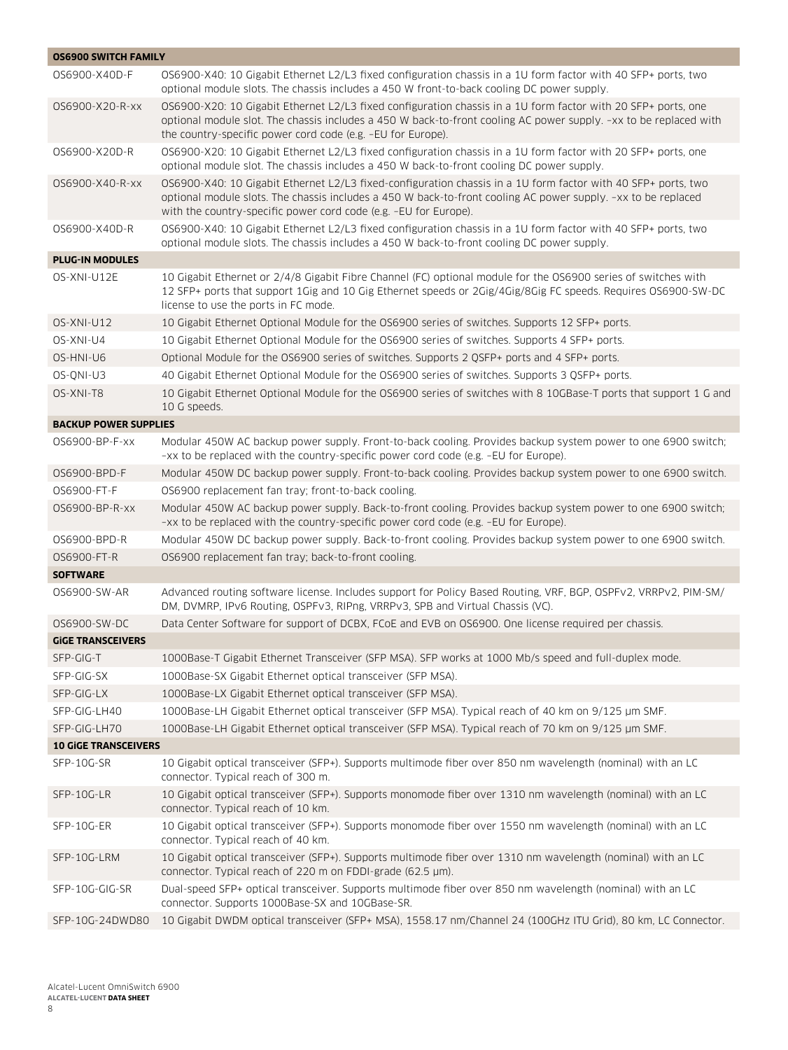| <b>OS6900 SWITCH FAMILY</b>  |                                                                                                                                                                                                                                                                                                    |
|------------------------------|----------------------------------------------------------------------------------------------------------------------------------------------------------------------------------------------------------------------------------------------------------------------------------------------------|
| 0S6900-X40D-F                | OS6900-X40: 10 Gigabit Ethernet L2/L3 fixed configuration chassis in a 1U form factor with 40 SFP+ ports, two<br>optional module slots. The chassis includes a 450 W front-to-back cooling DC power supply.                                                                                        |
| 0S6900-X20-R-xx              | OS6900-X20: 10 Gigabit Ethernet L2/L3 fixed configuration chassis in a 1U form factor with 20 SFP+ ports, one<br>optional module slot. The chassis includes a 450 W back-to-front cooling AC power supply. -xx to be replaced with<br>the country-specific power cord code (e.g. -EU for Europe).  |
| 0S6900-X20D-R                | OS6900-X20: 10 Gigabit Ethernet L2/L3 fixed configuration chassis in a 1U form factor with 20 SFP+ ports, one<br>optional module slot. The chassis includes a 450 W back-to-front cooling DC power supply.                                                                                         |
| 0S6900-X40-R-xx              | OS6900-X40: 10 Gigabit Ethernet L2/L3 fixed-configuration chassis in a 1U form factor with 40 SFP+ ports, two<br>optional module slots. The chassis includes a 450 W back-to-front cooling AC power supply. -xx to be replaced<br>with the country-specific power cord code (e.g. -EU for Europe). |
| 0S6900-X40D-R                | OS6900-X40: 10 Gigabit Ethernet L2/L3 fixed configuration chassis in a 1U form factor with 40 SFP+ ports, two<br>optional module slots. The chassis includes a 450 W back-to-front cooling DC power supply.                                                                                        |
| <b>PLUG-IN MODULES</b>       |                                                                                                                                                                                                                                                                                                    |
| OS-XNI-U12E                  | 10 Gigabit Ethernet or 2/4/8 Gigabit Fibre Channel (FC) optional module for the OS6900 series of switches with<br>12 SFP+ ports that support 1Gig and 10 Gig Ethernet speeds or 2Gig/4Gig/8Gig FC speeds. Requires OS6900-SW-DC<br>license to use the ports in FC mode.                            |
| OS-XNI-U12                   | 10 Gigabit Ethernet Optional Module for the OS6900 series of switches. Supports 12 SFP+ ports.                                                                                                                                                                                                     |
| OS-XNI-U4                    | 10 Gigabit Ethernet Optional Module for the OS6900 series of switches. Supports 4 SFP+ ports.                                                                                                                                                                                                      |
| OS-HNI-U6                    | Optional Module for the OS6900 series of switches. Supports 2 OSFP+ ports and 4 SFP+ ports.                                                                                                                                                                                                        |
| OS-ONI-U3                    | 40 Gigabit Ethernet Optional Module for the OS6900 series of switches. Supports 3 QSFP+ ports.                                                                                                                                                                                                     |
| OS-XNI-T8                    | 10 Gigabit Ethernet Optional Module for the OS6900 series of switches with 8 10GBase-T ports that support 1 G and<br>10 G speeds.                                                                                                                                                                  |
| <b>BACKUP POWER SUPPLIES</b> |                                                                                                                                                                                                                                                                                                    |
| 0S6900-BP-F-XX               | Modular 450W AC backup power supply. Front-to-back cooling. Provides backup system power to one 6900 switch;<br>-xx to be replaced with the country-specific power cord code (e.g. -EU for Europe).                                                                                                |
| 0S6900-BPD-F                 | Modular 450W DC backup power supply. Front-to-back cooling. Provides backup system power to one 6900 switch.                                                                                                                                                                                       |
| 0S6900-FT-F                  | OS6900 replacement fan tray; front-to-back cooling.                                                                                                                                                                                                                                                |
| 0S6900-BP-R-xx               | Modular 450W AC backup power supply. Back-to-front cooling. Provides backup system power to one 6900 switch;<br>-xx to be replaced with the country-specific power cord code (e.g. -EU for Europe).                                                                                                |
| 0S6900-BPD-R                 | Modular 450W DC backup power supply. Back-to-front cooling. Provides backup system power to one 6900 switch.                                                                                                                                                                                       |
| 0S6900-FT-R                  | OS6900 replacement fan tray; back-to-front cooling.                                                                                                                                                                                                                                                |
| <b>SOFTWARE</b>              |                                                                                                                                                                                                                                                                                                    |
| 0S6900-SW-AR                 | Advanced routing software license. Includes support for Policy Based Routing, VRF, BGP, OSPFv2, VRRPv2, PIM-SM/<br>DM, DVMRP, IPv6 Routing, OSPFv3, RIPng, VRRPv3, SPB and Virtual Chassis (VC).                                                                                                   |
| 0S6900-SW-DC                 | Data Center Software for support of DCBX, FCoE and EVB on OS6900. One license required per chassis.                                                                                                                                                                                                |
| <b>GIGE TRANSCEIVERS</b>     |                                                                                                                                                                                                                                                                                                    |
| SFP-GIG-T                    | 1000Base-T Gigabit Ethernet Transceiver (SFP MSA). SFP works at 1000 Mb/s speed and full-duplex mode.                                                                                                                                                                                              |
| SFP-GIG-SX                   | 1000Base-SX Gigabit Ethernet optical transceiver (SFP MSA).                                                                                                                                                                                                                                        |
| SFP-GIG-LX                   | 1000Base-LX Gigabit Ethernet optical transceiver (SFP MSA).                                                                                                                                                                                                                                        |
| SFP-GIG-LH40                 | 1000Base-LH Gigabit Ethernet optical transceiver (SFP MSA). Typical reach of 40 km on 9/125 µm SMF.                                                                                                                                                                                                |
| SFP-GIG-LH70                 | 1000Base-LH Gigabit Ethernet optical transceiver (SFP MSA). Typical reach of 70 km on 9/125 µm SMF.                                                                                                                                                                                                |
| <b>10 GIGE TRANSCEIVERS</b>  |                                                                                                                                                                                                                                                                                                    |
| SFP-10G-SR                   | 10 Gigabit optical transceiver (SFP+). Supports multimode fiber over 850 nm wavelength (nominal) with an LC<br>connector. Typical reach of 300 m.                                                                                                                                                  |
| SFP-10G-LR                   | 10 Gigabit optical transceiver (SFP+). Supports monomode fiber over 1310 nm wavelength (nominal) with an LC<br>connector. Typical reach of 10 km.                                                                                                                                                  |
| SFP-10G-ER                   | 10 Gigabit optical transceiver (SFP+). Supports monomode fiber over 1550 nm wavelength (nominal) with an LC<br>connector. Typical reach of 40 km.                                                                                                                                                  |
| SFP-10G-LRM                  | 10 Gigabit optical transceiver (SFP+). Supports multimode fiber over 1310 nm wavelength (nominal) with an LC<br>connector. Typical reach of 220 m on FDDI-grade (62.5 µm).                                                                                                                         |
| SFP-10G-GIG-SR               | Dual-speed SFP+ optical transceiver. Supports multimode fiber over 850 nm wavelength (nominal) with an LC<br>connector. Supports 1000Base-SX and 10GBase-SR.                                                                                                                                       |
| SFP-10G-24DWD80              | 10 Gigabit DWDM optical transceiver (SFP+ MSA), 1558.17 nm/Channel 24 (100GHz ITU Grid), 80 km, LC Connector.                                                                                                                                                                                      |